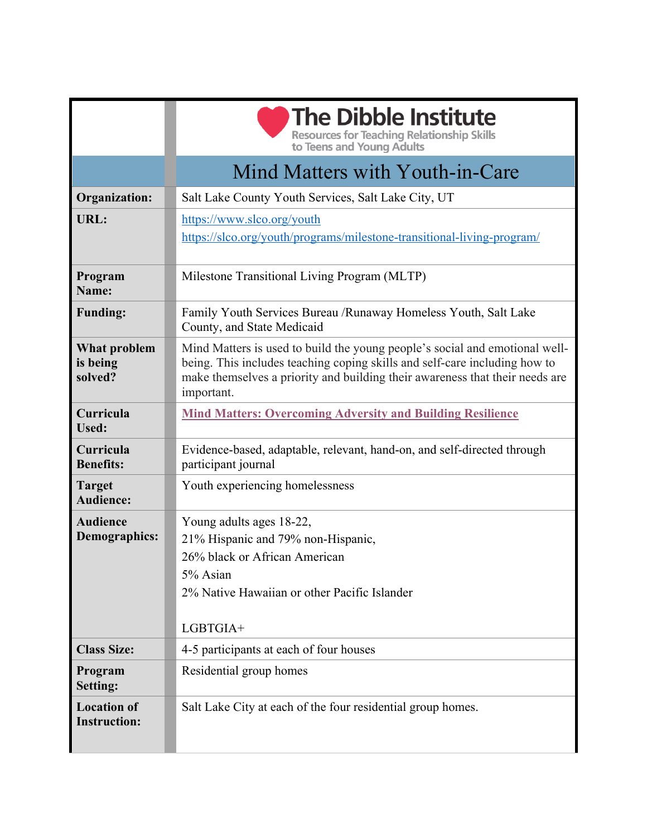|                                           | <b>The Dibble Institute</b><br><b>Resources for Teaching Relationship Skills</b>                                                                                                                                                                        |
|-------------------------------------------|---------------------------------------------------------------------------------------------------------------------------------------------------------------------------------------------------------------------------------------------------------|
|                                           | to Teens and Young Adults                                                                                                                                                                                                                               |
|                                           | Mind Matters with Youth-in-Care                                                                                                                                                                                                                         |
| <b>Organization:</b>                      | Salt Lake County Youth Services, Salt Lake City, UT                                                                                                                                                                                                     |
| URL:                                      | https://www.slco.org/youth<br>https://slco.org/youth/programs/milestone-transitional-living-program/                                                                                                                                                    |
| Program<br>Name:                          | Milestone Transitional Living Program (MLTP)                                                                                                                                                                                                            |
| <b>Funding:</b>                           | Family Youth Services Bureau /Runaway Homeless Youth, Salt Lake<br>County, and State Medicaid                                                                                                                                                           |
| What problem<br>is being<br>solved?       | Mind Matters is used to build the young people's social and emotional well-<br>being. This includes teaching coping skills and self-care including how to<br>make themselves a priority and building their awareness that their needs are<br>important. |
| Curricula<br>Used:                        | <b>Mind Matters: Overcoming Adversity and Building Resilience</b>                                                                                                                                                                                       |
| Curricula<br><b>Benefits:</b>             | Evidence-based, adaptable, relevant, hand-on, and self-directed through<br>participant journal                                                                                                                                                          |
| <b>Target</b><br><b>Audience:</b>         | Youth experiencing homelessness                                                                                                                                                                                                                         |
| <b>Audience</b>                           | Young adults ages 18-22,                                                                                                                                                                                                                                |
| <b>Demographics:</b>                      | 21% Hispanic and 79% non-Hispanic,                                                                                                                                                                                                                      |
|                                           | 26% black or African American                                                                                                                                                                                                                           |
|                                           | 5% Asian                                                                                                                                                                                                                                                |
|                                           | 2% Native Hawaiian or other Pacific Islander                                                                                                                                                                                                            |
|                                           | LGBTGIA+                                                                                                                                                                                                                                                |
| <b>Class Size:</b>                        | 4-5 participants at each of four houses                                                                                                                                                                                                                 |
| Program<br><b>Setting:</b>                | Residential group homes                                                                                                                                                                                                                                 |
| <b>Location of</b><br><b>Instruction:</b> | Salt Lake City at each of the four residential group homes.                                                                                                                                                                                             |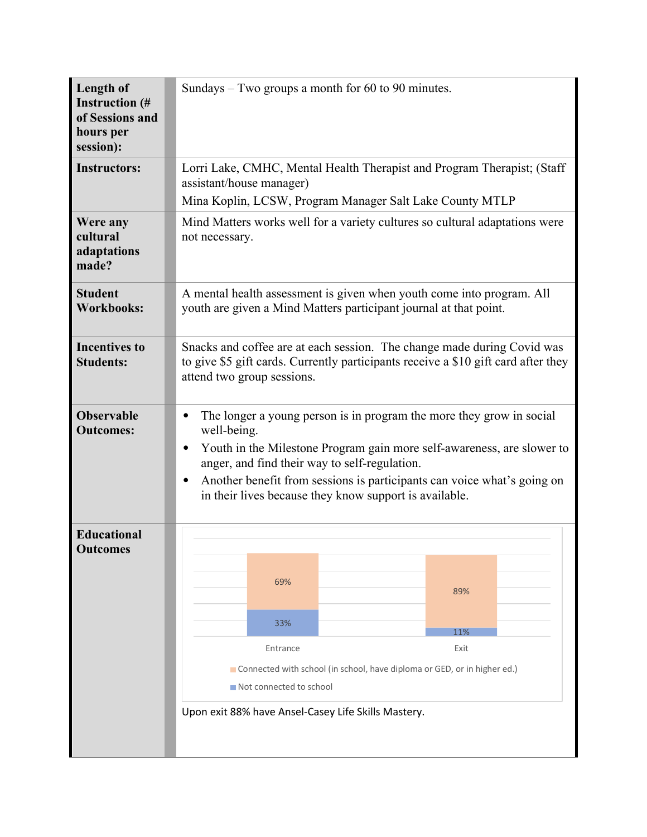| Length of<br><b>Instruction</b> (#<br>of Sessions and<br>hours per<br>session): | Sundays $-$ Two groups a month for 60 to 90 minutes.                                                                                                                                                                                                                                                                                                                                       |
|---------------------------------------------------------------------------------|--------------------------------------------------------------------------------------------------------------------------------------------------------------------------------------------------------------------------------------------------------------------------------------------------------------------------------------------------------------------------------------------|
| <b>Instructors:</b>                                                             | Lorri Lake, CMHC, Mental Health Therapist and Program Therapist; (Staff<br>assistant/house manager)<br>Mina Koplin, LCSW, Program Manager Salt Lake County MTLP                                                                                                                                                                                                                            |
| Were any<br>cultural<br>adaptations<br>made?                                    | Mind Matters works well for a variety cultures so cultural adaptations were<br>not necessary.                                                                                                                                                                                                                                                                                              |
| <b>Student</b><br><b>Workbooks:</b>                                             | A mental health assessment is given when youth come into program. All<br>youth are given a Mind Matters participant journal at that point.                                                                                                                                                                                                                                                 |
| <b>Incentives to</b><br><b>Students:</b>                                        | Snacks and coffee are at each session. The change made during Covid was<br>to give \$5 gift cards. Currently participants receive a \$10 gift card after they<br>attend two group sessions.                                                                                                                                                                                                |
| <b>Observable</b><br><b>Outcomes:</b>                                           | The longer a young person is in program the more they grow in social<br>$\bullet$<br>well-being.<br>Youth in the Milestone Program gain more self-awareness, are slower to<br>$\bullet$<br>anger, and find their way to self-regulation.<br>Another benefit from sessions is participants can voice what's going on<br>$\bullet$<br>in their lives because they know support is available. |
| <b>Educational</b><br><b>Outcomes</b>                                           | 69%<br>89%<br>33%<br>11%<br>Exit<br>Entrance<br>Connected with school (in school, have diploma or GED, or in higher ed.)<br>Not connected to school<br>Upon exit 88% have Ansel-Casey Life Skills Mastery.                                                                                                                                                                                 |